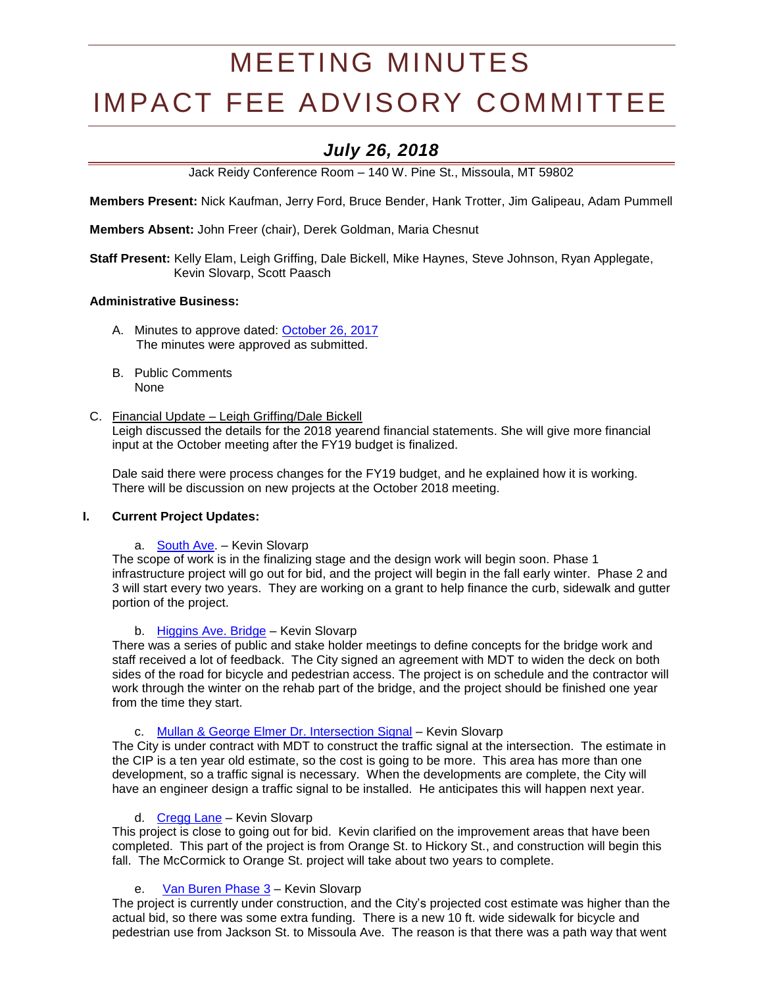# MEETING MINUTES

# IMPACT FEE ADVISORY COMMITTEE

# *July 26, 2018*

Jack Reidy Conference Room – 140 W. Pine St., Missoula, MT 59802

**Members Present:** Nick Kaufman, Jerry Ford, Bruce Bender, Hank Trotter, Jim Galipeau, Adam Pummell

**Members Absent:** John Freer (chair), Derek Goldman, Maria Chesnut

**Staff Present:** Kelly Elam, Leigh Griffing, Dale Bickell, Mike Haynes, Steve Johnson, Ryan Applegate, Kevin Slovarp, Scott Paasch

# **Administrative Business:**

- A. Minutes to approve dated: [October 26, 2017](http://www.ci.missoula.mt.us/Archive.aspx?ADID=12060)  The minutes were approved as submitted.
- B. Public Comments None

#### C. Financial Update – Leigh Griffing/Dale Bickell

Leigh discussed the details for the 2018 yearend financial statements. She will give more financial input at the October meeting after the FY19 budget is finalized.

Dale said there were process changes for the FY19 budget, and he explained how it is working. There will be discussion on new projects at the October 2018 meeting.

# **I. Current Project Updates:**

a. [South Ave.](https://www.ci.missoula.mt.us/DocumentCenter/View/39239) – Kevin Slovarp

The scope of work is in the finalizing stage and the design work will begin soon. Phase 1 infrastructure project will go out for bid, and the project will begin in the fall early winter. Phase 2 and 3 will start every two years. They are working on a grant to help finance the curb, sidewalk and gutter portion of the project.

#### b. [Higgins Ave. Bridge](https://www.ci.missoula.mt.us/DocumentCenter/View/33695) – Kevin Slovarp

There was a series of public and stake holder meetings to define concepts for the bridge work and staff received a lot of feedback. The City signed an agreement with MDT to widen the deck on both sides of the road for bicycle and pedestrian access. The project is on schedule and the contractor will work through the winter on the rehab part of the bridge, and the project should be finished one year from the time they start.

# c. [Mullan & George Elmer Dr. Intersection Signal](https://www.ci.missoula.mt.us/DocumentCenter/View/39234) - Kevin Slovarp

The City is under contract with MDT to construct the traffic signal at the intersection. The estimate in the CIP is a ten year old estimate, so the cost is going to be more. This area has more than one development, so a traffic signal is necessary. When the developments are complete, the City will have an engineer design a traffic signal to be installed. He anticipates this will happen next year.

#### d. [Cregg Lane](https://www.ci.missoula.mt.us/DocumentCenter/View/41366) – Kevin Slovarp

This project is close to going out for bid. Kevin clarified on the improvement areas that have been completed. This part of the project is from Orange St. to Hickory St., and construction will begin this fall. The McCormick to Orange St. project will take about two years to complete.

# e. [Van Buren Phase 3](https://www.ci.missoula.mt.us/DocumentCenter/View/41372) – Kevin Slovarp

The project is currently under construction, and the City's projected cost estimate was higher than the actual bid, so there was some extra funding. There is a new 10 ft. wide sidewalk for bicycle and pedestrian use from Jackson St. to Missoula Ave. The reason is that there was a path way that went